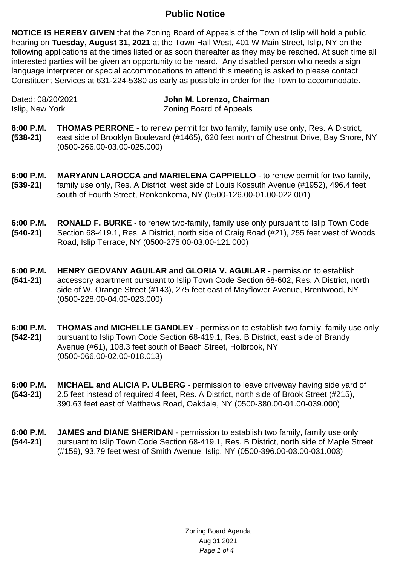## **Public Notice**

**NOTICE IS HEREBY GIVEN** that the Zoning Board of Appeals of the Town of Islip will hold a public hearing on **Tuesday, August 31, 2021** at the Town Hall West, 401 W Main Street, Islip, NY on the following applications at the times listed or as soon thereafter as they may be reached. At such time all interested parties will be given an opportunity to be heard. Any disabled person who needs a sign language interpreter or special accommodations to attend this meeting is asked to please contact Constituent Services at 631-224-5380 as early as possible in order for the Town to accommodate.

Dated: 08/20/2021 **John M. Lorenzo, Chairman** Islip, New York **Zoning Board of Appeals** 

- **6:00 P.M. (538-21) THOMAS PERRONE** - to renew permit for two family, family use only, Res. A District, east side of Brooklyn Boulevard (#1465), 620 feet north of Chestnut Drive, Bay Shore, NY (0500-266.00-03.00-025.000)
- **6:00 P.M. (539-21) MARYANN LAROCCA and MARIELENA CAPPIELLO** - to renew permit for two family, family use only, Res. A District, west side of Louis Kossuth Avenue (#1952), 496.4 feet south of Fourth Street, Ronkonkoma, NY (0500-126.00-01.00-022.001)
- **6:00 P.M. (540-21) RONALD F. BURKE** - to renew two-family, family use only pursuant to Islip Town Code Section 68-419.1, Res. A District, north side of Craig Road (#21), 255 feet west of Woods Road, Islip Terrace, NY (0500-275.00-03.00-121.000)
- **6:00 P.M. (541-21) HENRY GEOVANY AGUILAR and GLORIA V. AGUILAR** - permission to establish accessory apartment pursuant to Islip Town Code Section 68-602, Res. A District, north side of W. Orange Street (#143), 275 feet east of Mayflower Avenue, Brentwood, NY (0500-228.00-04.00-023.000)
- **6:00 P.M. (542-21) THOMAS and MICHELLE GANDLEY** - permission to establish two family, family use only pursuant to Islip Town Code Section 68-419.1, Res. B District, east side of Brandy Avenue (#61), 108.3 feet south of Beach Street, Holbrook, NY (0500-066.00-02.00-018.013)
- **6:00 P.M. (543-21) MICHAEL and ALICIA P. ULBERG** - permission to leave driveway having side yard of 2.5 feet instead of required 4 feet, Res. A District, north side of Brook Street (#215), 390.63 feet east of Matthews Road, Oakdale, NY (0500-380.00-01.00-039.000)
- **6:00 P.M. (544-21) JAMES and DIANE SHERIDAN** - permission to establish two family, family use only pursuant to Islip Town Code Section 68-419.1, Res. B District, north side of Maple Street (#159), 93.79 feet west of Smith Avenue, Islip, NY (0500-396.00-03.00-031.003)

Zoning Board Agenda Aug 31 2021 Page 1 of 4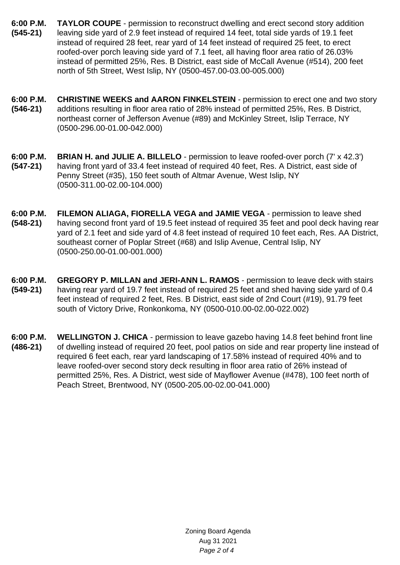- **6:00 P.M. (545-21) TAYLOR COUPE** - permission to reconstruct dwelling and erect second story addition leaving side yard of 2.9 feet instead of required 14 feet, total side yards of 19.1 feet instead of required 28 feet, rear yard of 14 feet instead of required 25 feet, to erect roofed-over porch leaving side yard of 7.1 feet, all having floor area ratio of 26.03% instead of permitted 25%, Res. B District, east side of McCall Avenue (#514), 200 feet north of 5th Street, West Islip, NY (0500-457.00-03.00-005.000)
- **6:00 P.M. (546-21) CHRISTINE WEEKS and AARON FINKELSTEIN** - permission to erect one and two story additions resulting in floor area ratio of 28% instead of permitted 25%, Res. B District, northeast corner of Jefferson Avenue (#89) and McKinley Street, Islip Terrace, NY (0500-296.00-01.00-042.000)
- **6:00 P.M. (547-21) BRIAN H. and JULIE A. BILLELO** - permission to leave roofed-over porch (7' x 42.3') having front yard of 33.4 feet instead of required 40 feet, Res. A District, east side of Penny Street (#35), 150 feet south of Altmar Avenue, West Islip, NY (0500-311.00-02.00-104.000)
- **6:00 P.M. (548-21) FILEMON ALIAGA, FIORELLA VEGA and JAMIE VEGA** - permission to leave shed having second front yard of 19.5 feet instead of required 35 feet and pool deck having rear yard of 2.1 feet and side yard of 4.8 feet instead of required 10 feet each, Res. AA District, southeast corner of Poplar Street (#68) and Islip Avenue, Central Islip, NY (0500-250.00-01.00-001.000)
- **6:00 P.M. (549-21) GREGORY P. MILLAN and JERI-ANN L. RAMOS** - permission to leave deck with stairs having rear yard of 19.7 feet instead of required 25 feet and shed having side yard of 0.4 feet instead of required 2 feet, Res. B District, east side of 2nd Court (#19), 91.79 feet south of Victory Drive, Ronkonkoma, NY (0500-010.00-02.00-022.002)
- **6:00 P.M. (486-21) WELLINGTON J. CHICA** - permission to leave gazebo having 14.8 feet behind front line of dwelling instead of required 20 feet, pool patios on side and rear property line instead of required 6 feet each, rear yard landscaping of 17.58% instead of required 40% and to leave roofed-over second story deck resulting in floor area ratio of 26% instead of permitted 25%, Res. A District, west side of Mayflower Avenue (#478), 100 feet north of Peach Street, Brentwood, NY (0500-205.00-02.00-041.000)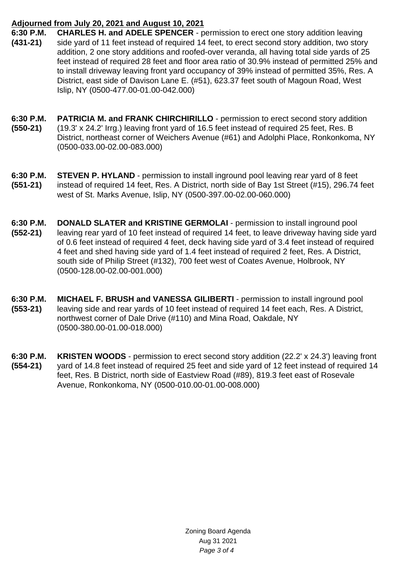## **Adjourned from July 20, 2021 and August 10, 2021**

- **6:30 P.M. (431-21) CHARLES H. and ADELE SPENCER** - permission to erect one story addition leaving side yard of 11 feet instead of required 14 feet, to erect second story addition, two story addition, 2 one story additions and roofed-over veranda, all having total side yards of 25 feet instead of required 28 feet and floor area ratio of 30.9% instead of permitted 25% and to install driveway leaving front yard occupancy of 39% instead of permitted 35%, Res. A District, east side of Davison Lane E. (#51), 623.37 feet south of Magoun Road, West Islip, NY (0500-477.00-01.00-042.000)
- **6:30 P.M. (550-21) PATRICIA M. and FRANK CHIRCHIRILLO** - permission to erect second story addition (19.3' x 24.2' Irrg.) leaving front yard of 16.5 feet instead of required 25 feet, Res. B District, northeast corner of Weichers Avenue (#61) and Adolphi Place, Ronkonkoma, NY (0500-033.00-02.00-083.000)
- **6:30 P.M. (551-21) STEVEN P. HYLAND** - permission to install inground pool leaving rear yard of 8 feet instead of required 14 feet, Res. A District, north side of Bay 1st Street (#15), 296.74 feet west of St. Marks Avenue, Islip, NY (0500-397.00-02.00-060.000)
- **6:30 P.M. (552-21) DONALD SLATER and KRISTINE GERMOLAI** - permission to install inground pool leaving rear yard of 10 feet instead of required 14 feet, to leave driveway having side yard of 0.6 feet instead of required 4 feet, deck having side yard of 3.4 feet instead of required 4 feet and shed having side yard of 1.4 feet instead of required 2 feet, Res. A District, south side of Philip Street (#132), 700 feet west of Coates Avenue, Holbrook, NY (0500-128.00-02.00-001.000)
- **6:30 P.M. (553-21) MICHAEL F. BRUSH and VANESSA GILIBERTI** - permission to install inground pool leaving side and rear yards of 10 feet instead of required 14 feet each, Res. A District, northwest corner of Dale Drive (#110) and Mina Road, Oakdale, NY (0500-380.00-01.00-018.000)
- **6:30 P.M. (554-21) KRISTEN WOODS** - permission to erect second story addition (22.2' x 24.3') leaving front yard of 14.8 feet instead of required 25 feet and side yard of 12 feet instead of required 14 feet, Res. B District, north side of Eastview Road (#89), 819.3 feet east of Rosevale Avenue, Ronkonkoma, NY (0500-010.00-01.00-008.000)